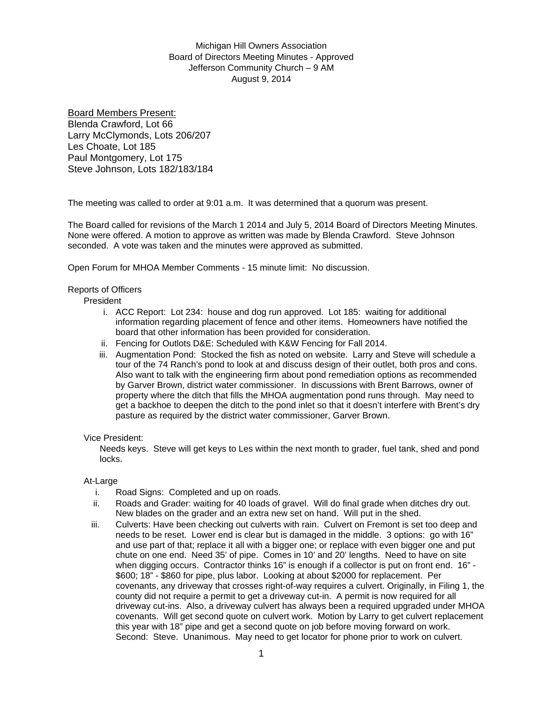# Michigan Hill Owners Association Board of Directors Meeting Minutes - Approved Jefferson Community Church – 9 AM August 9, 2014

Board Members Present: Blenda Crawford, Lot 66 Larry McClymonds, Lots 206/207 Les Choate, Lot 185 Paul Montgomery, Lot 175 Steve Johnson, Lots 182/183/184

The meeting was called to order at 9:01 a.m. It was determined that a quorum was present.

The Board called for revisions of the March 1 2014 and July 5, 2014 Board of Directors Meeting Minutes. None were offered. A motion to approve as written was made by Blenda Crawford. Steve Johnson seconded. A vote was taken and the minutes were approved as submitted.

Open Forum for MHOA Member Comments - 15 minute limit: No discussion.

### Reports of Officers

President

- i. ACC Report: Lot 234: house and dog run approved. Lot 185: waiting for additional information regarding placement of fence and other items. Homeowners have notified the board that other information has been provided for consideration.
- ii. Fencing for Outlots D&E: Scheduled with K&W Fencing for Fall 2014.
- iii. Augmentation Pond: Stocked the fish as noted on website. Larry and Steve will schedule a tour of the 74 Ranch's pond to look at and discuss design of their outlet, both pros and cons. Also want to talk with the engineering firm about pond remediation options as recommended by Garver Brown, district water commissioner. In discussions with Brent Barrows, owner of property where the ditch that fills the MHOA augmentation pond runs through. May need to get a backhoe to deepen the ditch to the pond inlet so that it doesn't interfere with Brent's dry pasture as required by the district water commissioner, Garver Brown.

#### Vice President:

Needs keys. Steve will get keys to Les within the next month to grader, fuel tank, shed and pond locks.

#### At-Large

- i. Road Signs: Completed and up on roads.
- ii. Roads and Grader: waiting for 40 loads of gravel. Will do final grade when ditches dry out. New blades on the grader and an extra new set on hand. Will put in the shed.
- iii. Culverts: Have been checking out culverts with rain. Culvert on Fremont is set too deep and needs to be reset. Lower end is clear but is damaged in the middle. 3 options: go with 16" and use part of that; replace it all with a bigger one; or replace with even bigger one and put chute on one end. Need 35' of pipe. Comes in 10' and 20' lengths. Need to have on site when digging occurs. Contractor thinks 16" is enough if a collector is put on front end. 16" -\$600; 18" - \$860 for pipe, plus labor. Looking at about \$2000 for replacement. Per covenants, any driveway that crosses right-of-way requires a culvert. Originally, in Filing 1, the county did not require a permit to get a driveway cut-in. A permit is now required for all driveway cut-ins. Also, a driveway culvert has always been a required upgraded under MHOA covenants. Will get second quote on culvert work. Motion by Larry to get culvert replacement this year with 18" pipe and get a second quote on job before moving forward on work. Second: Steve. Unanimous. May need to get locator for phone prior to work on culvert.